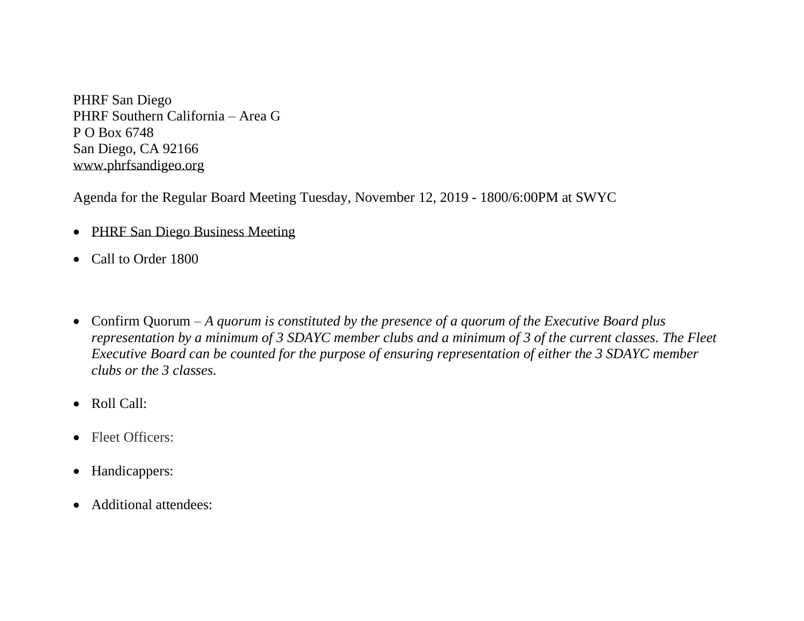PHRF San Diego PHRF Southern California – Area G P O Box 6748 San Diego, CA 92166 [www.phrfsandigeo.org](http://www.phrfsandigeo.org/)

Agenda for the Regular Board Meeting Tuesday, November 12, 2019 - 1800/6:00PM at SWYC

- PHRF San Diego Business Meeting
- Call to Order 1800
- Confirm Quorum *A quorum is constituted by the presence of a quorum of the Executive Board plus representation by a minimum of 3 SDAYC member clubs and a minimum of 3 of the current classes. The Fleet Executive Board can be counted for the purpose of ensuring representation of either the 3 SDAYC member clubs or the 3 classes.*
- Roll Call:
- Fleet Officers:
- Handicappers:
- Additional attendees: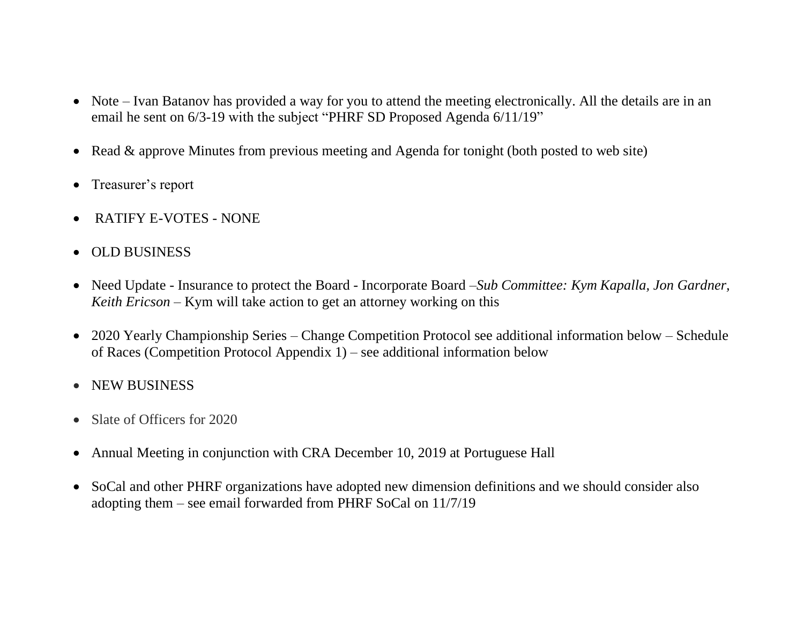- Note Ivan Batanov has provided a way for you to attend the meeting electronically. All the details are in an email he sent on 6/3-19 with the subject "PHRF SD Proposed Agenda 6/11/19"
- Read & approve Minutes from previous meeting and Agenda for tonight (both posted to web site)
- Treasurer's report
- RATIFY E-VOTES NONE
- OLD BUSINESS
- Need Update Insurance to protect the Board Incorporate Board –*Sub Committee: Kym Kapalla, Jon Gardner, Keith Ericson –* Kym will take action to get an attorney working on this
- 2020 Yearly Championship Series Change Competition Protocol see additional information below Schedule of Races (Competition Protocol Appendix 1) – see additional information below
- NEW BUSINESS
- Slate of Officers for 2020
- Annual Meeting in conjunction with CRA December 10, 2019 at Portuguese Hall
- SoCal and other PHRF organizations have adopted new dimension definitions and we should consider also adopting them – see email forwarded from PHRF SoCal on 11/7/19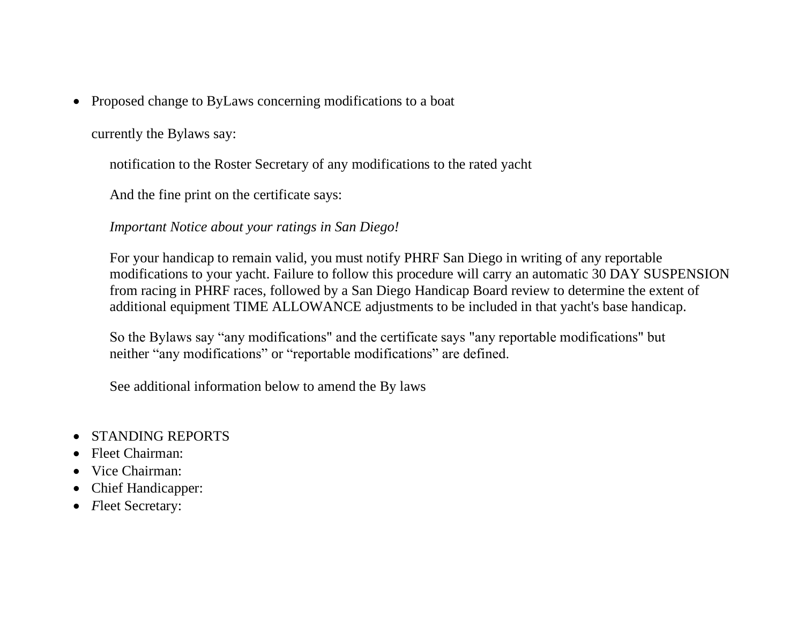• Proposed change to ByLaws concerning modifications to a boat

currently the Bylaws say:

notification to the Roster Secretary of any modifications to the rated yacht

And the fine print on the certificate says:

#### *Important Notice about your ratings in San Diego!*

For your handicap to remain valid, you must notify PHRF San Diego in writing of any reportable modifications to your yacht. Failure to follow this procedure will carry an automatic 30 DAY SUSPENSION from racing in PHRF races, followed by a San Diego Handicap Board review to determine the extent of additional equipment TIME ALLOWANCE adjustments to be included in that yacht's base handicap.

So the Bylaws say "any modifications" and the certificate says "any reportable modifications" but neither "any modifications" or "reportable modifications" are defined.

See additional information below to amend the By laws

- STANDING REPORTS
- Fleet Chairman:
- Vice Chairman:
- Chief Handicapper:
- *F*leet Secretary: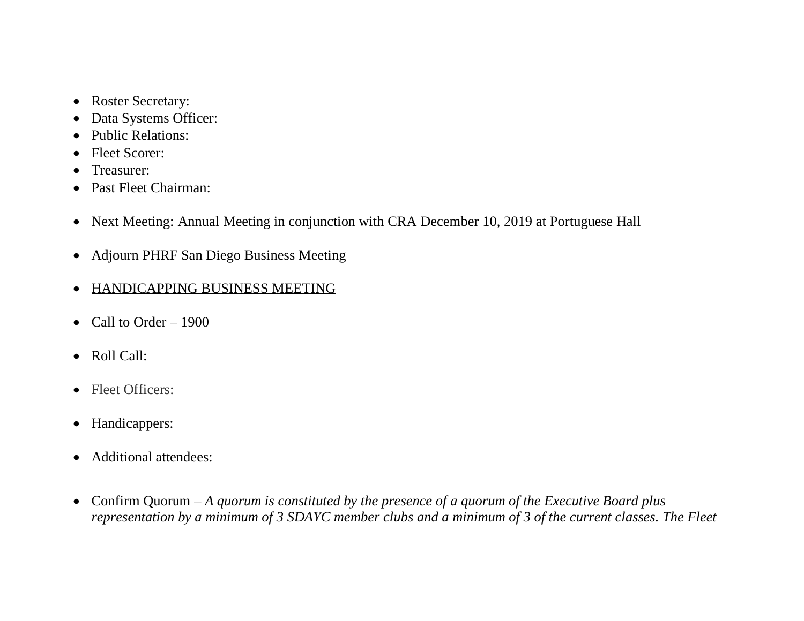- Roster Secretary:
- Data Systems Officer:
- Public Relations:
- Fleet Scorer:
- Treasurer:
- Past Fleet Chairman:
- Next Meeting: Annual Meeting in conjunction with CRA December 10, 2019 at Portuguese Hall
- Adjourn PHRF San Diego Business Meeting
- HANDICAPPING BUSINESS MEETING
- Call to Order  $-1900$
- Roll Call:
- Fleet Officers:
- Handicappers:
- Additional attendees:
- Confirm Quorum *A quorum is constituted by the presence of a quorum of the Executive Board plus representation by a minimum of 3 SDAYC member clubs and a minimum of 3 of the current classes. The Fleet*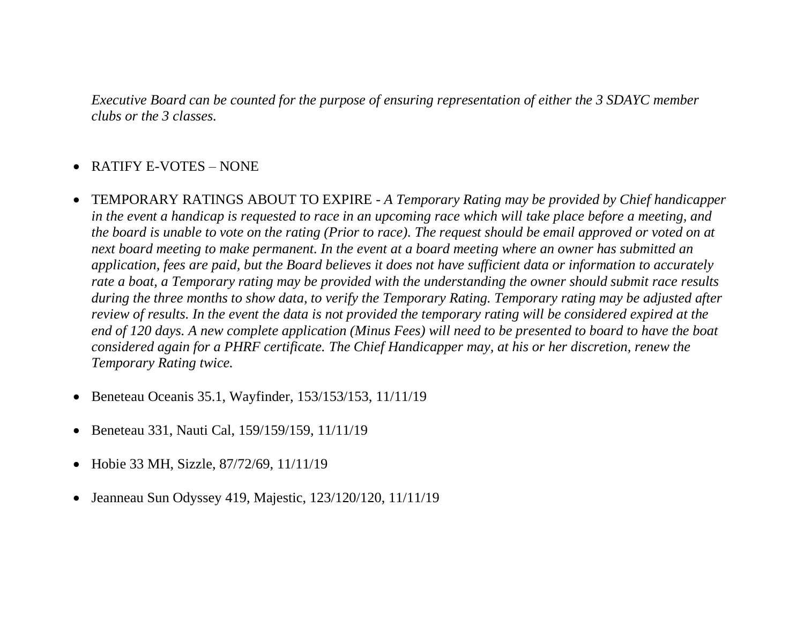*Executive Board can be counted for the purpose of ensuring representation of either the 3 SDAYC member clubs or the 3 classes.*

# • RATIFY E-VOTES – NONE

- TEMPORARY RATINGS ABOUT TO EXPIRE *A Temporary Rating may be provided by Chief handicapper in the event a handicap is requested to race in an upcoming race which will take place before a meeting, and the board is unable to vote on the rating (Prior to race). The request should be email approved or voted on at next board meeting to make permanent. In the event at a board meeting where an owner has submitted an application, fees are paid, but the Board believes it does not have sufficient data or information to accurately rate a boat, a Temporary rating may be provided with the understanding the owner should submit race results during the three months to show data, to verify the Temporary Rating. Temporary rating may be adjusted after review of results. In the event the data is not provided the temporary rating will be considered expired at the end of 120 days. A new complete application (Minus Fees) will need to be presented to board to have the boat considered again for a PHRF certificate. The Chief Handicapper may, at his or her discretion, renew the Temporary Rating twice.*
- Beneteau Oceanis 35.1, Wayfinder, 153/153/153, 11/11/19
- Beneteau 331, Nauti Cal, 159/159/159, 11/11/19
- Hobie 33 MH, Sizzle, 87/72/69, 11/11/19
- Jeanneau Sun Odyssey 419, Majestic, 123/120/120, 11/11/19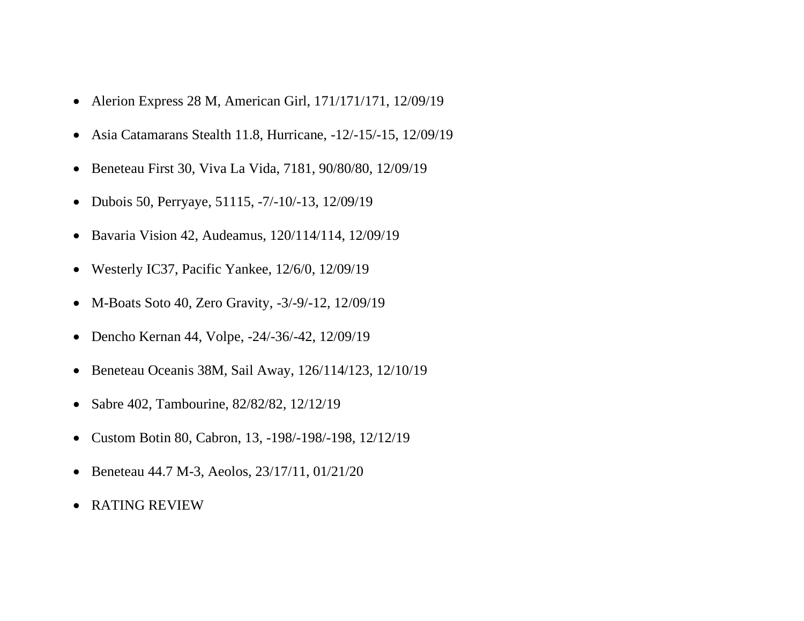- Alerion Express 28 M, American Girl, 171/171/171, 12/09/19
- Asia Catamarans Stealth 11.8, Hurricane, -12/-15/-15, 12/09/19
- Beneteau First 30, Viva La Vida, 7181, 90/80/80, 12/09/19
- Dubois 50, Perryaye, 51115, -7/-10/-13, 12/09/19
- Bavaria Vision 42, Audeamus, 120/114/114, 12/09/19
- Westerly IC37, Pacific Yankee, 12/6/0, 12/09/19
- M-Boats Soto 40, Zero Gravity, -3/-9/-12, 12/09/19
- Dencho Kernan 44, Volpe, -24/-36/-42, 12/09/19
- Beneteau Oceanis 38M, Sail Away, 126/114/123, 12/10/19
- Sabre 402, Tambourine, 82/82/82, 12/12/19
- Custom Botin 80, Cabron, 13, -198/-198/-198, 12/12/19
- Beneteau 44.7 M-3, Aeolos, 23/17/11, 01/21/20
- RATING REVIEW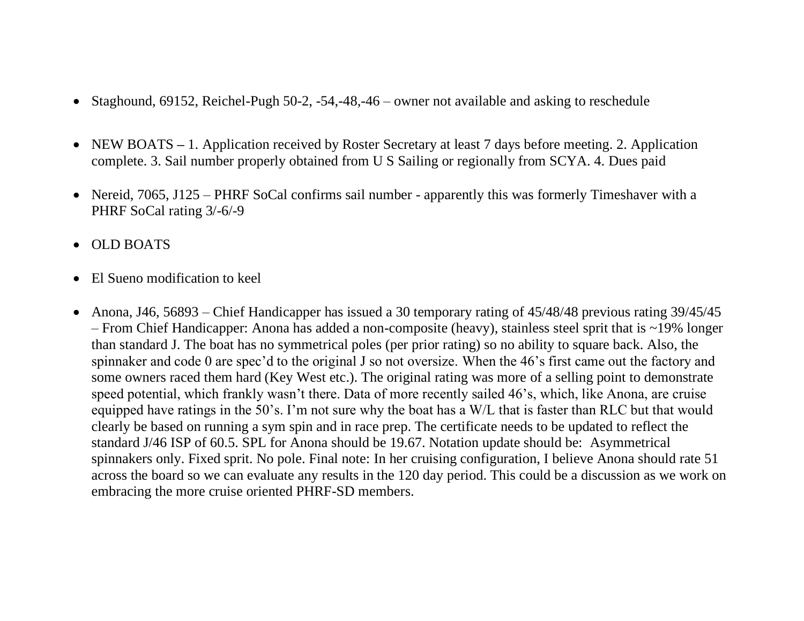- Staghound, 69152, Reichel-Pugh 50-2, -54,-48,-46 owner not available and asking to reschedule
- NEW BOATS 1. Application received by Roster Secretary at least 7 days before meeting. 2. Application complete. 3. Sail number properly obtained from U S Sailing or regionally from SCYA. 4. Dues paid
- Nereid, 7065, J125 PHRF SoCal confirms sail number apparently this was formerly Timeshaver with a PHRF SoCal rating 3/-6/-9
- OLD BOATS
- El Sueno modification to keel
- Anona, J46, 56893 Chief Handicapper has issued a 30 temporary rating of 45/48/48 previous rating 39/45/45 – From Chief Handicapper: Anona has added a non-composite (heavy), stainless steel sprit that is ~19% longer than standard J. The boat has no symmetrical poles (per prior rating) so no ability to square back. Also, the spinnaker and code 0 are spec'd to the original J so not oversize. When the 46's first came out the factory and some owners raced them hard (Key West etc.). The original rating was more of a selling point to demonstrate speed potential, which frankly wasn't there. Data of more recently sailed 46's, which, like Anona, are cruise equipped have ratings in the 50's. I'm not sure why the boat has a W/L that is faster than RLC but that would clearly be based on running a sym spin and in race prep. The certificate needs to be updated to reflect the standard J/46 ISP of 60.5. SPL for Anona should be 19.67. Notation update should be: Asymmetrical spinnakers only. Fixed sprit. No pole. Final note: In her cruising configuration, I believe Anona should rate 51 across the board so we can evaluate any results in the 120 day period. This could be a discussion as we work on embracing the more cruise oriented PHRF-SD members.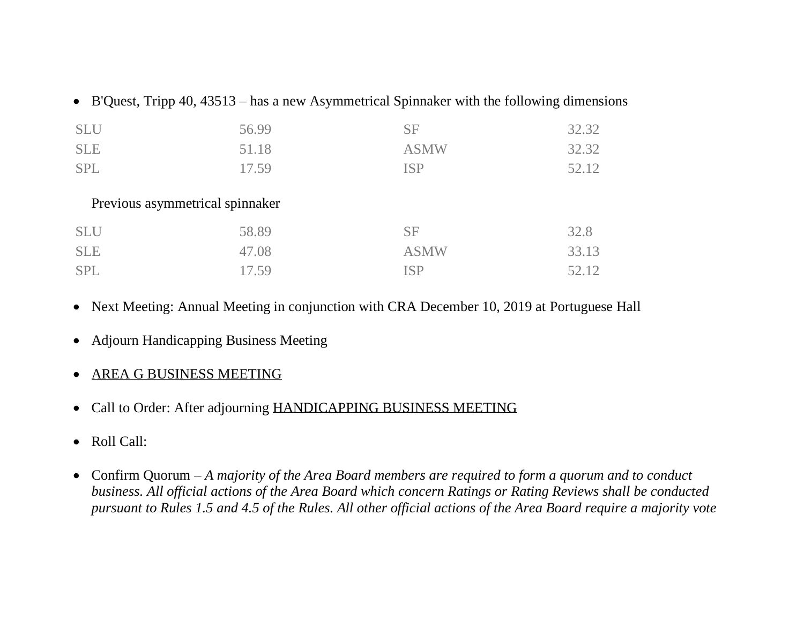| <b>SLU</b>                      | 56.99 | <b>SF</b>   | 32.32 |  |  |
|---------------------------------|-------|-------------|-------|--|--|
| <b>SLE</b>                      | 51.18 | <b>ASMW</b> | 32.32 |  |  |
| <b>SPL</b>                      | 17.59 | <b>ISP</b>  | 52.12 |  |  |
| Previous asymmetrical spinnaker |       |             |       |  |  |
|                                 |       |             |       |  |  |
| <b>SLU</b>                      | 58.89 | <b>SF</b>   | 32.8  |  |  |
| <b>SLE</b>                      | 47.08 | <b>ASMW</b> | 33.13 |  |  |
| <b>SPL</b>                      | 17.59 | <b>ISP</b>  | 52.12 |  |  |

- Next Meeting: Annual Meeting in conjunction with CRA December 10, 2019 at Portuguese Hall
- Adjourn Handicapping Business Meeting
- AREA G BUSINESS MEETING
- Call to Order: After adjourning HANDICAPPING BUSINESS MEETING
- Roll Call:
- Confirm Quorum *A majority of the Area Board members are required to form a quorum and to conduct business. All official actions of the Area Board which concern Ratings or Rating Reviews shall be conducted pursuant to Rules 1.5 and 4.5 of the Rules. All other official actions of the Area Board require a majority vote*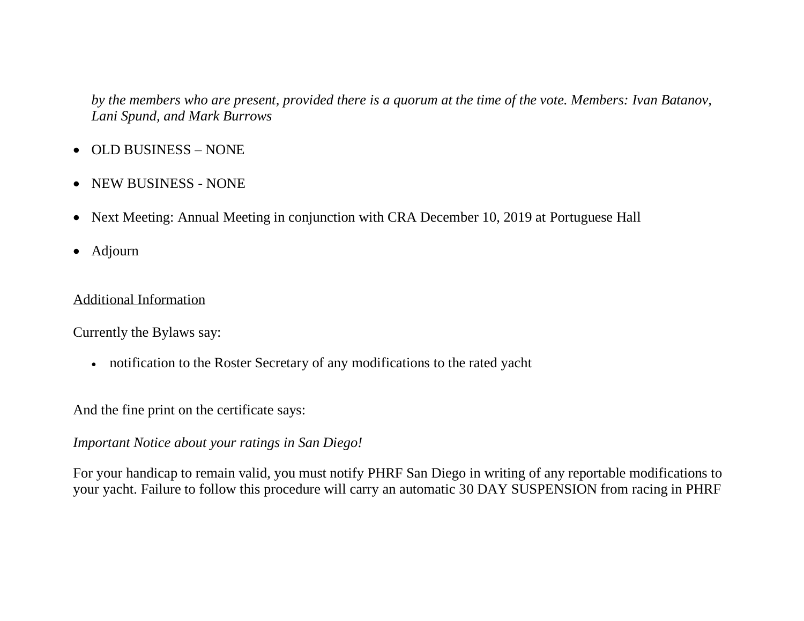*by the members who are present, provided there is a quorum at the time of the vote. Members: Ivan Batanov, Lani Spund, and Mark Burrows*

- OLD BUSINESS NONE
- NEW BUSINESS NONE
- Next Meeting: Annual Meeting in conjunction with CRA December 10, 2019 at Portuguese Hall
- Adjourn

### Additional Information

Currently the Bylaws say:

• notification to the Roster Secretary of any modifications to the rated yacht

And the fine print on the certificate says:

### *Important Notice about your ratings in San Diego!*

For your handicap to remain valid, you must notify PHRF San Diego in writing of any reportable modifications to your yacht. Failure to follow this procedure will carry an automatic 30 DAY SUSPENSION from racing in PHRF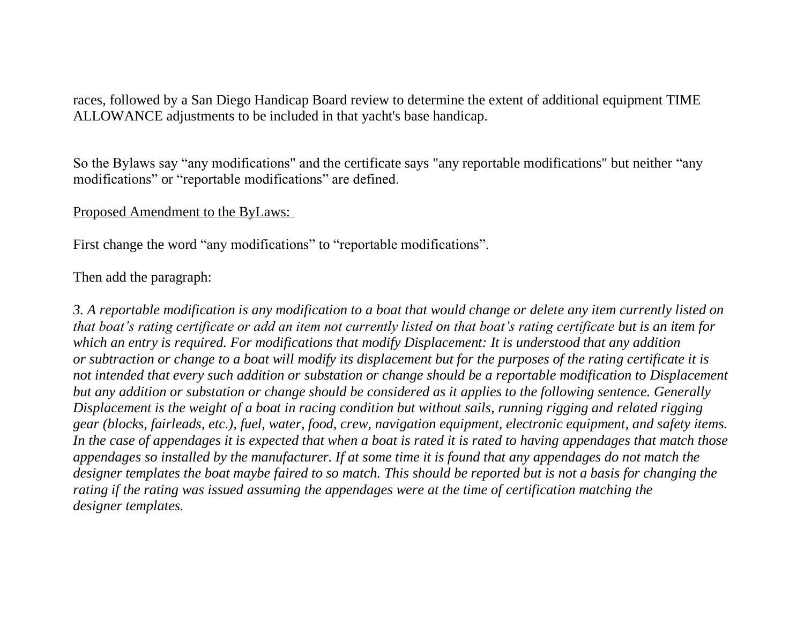races, followed by a San Diego Handicap Board review to determine the extent of additional equipment TIME ALLOWANCE adjustments to be included in that yacht's base handicap.

So the Bylaws say "any modifications" and the certificate says "any reportable modifications" but neither "any modifications" or "reportable modifications" are defined.

#### Proposed Amendment to the ByLaws:

First change the word "any modifications" to "reportable modifications".

#### Then add the paragraph:

*3. A reportable modification is any modification to a boat that would change or delete any item currently listed on that boat's rating certificate or add an item not currently listed on that boat's rating certificate but is an item for which an entry is required. For modifications that modify Displacement: It is understood that any addition or subtraction or change to a boat will modify its displacement but for the purposes of the rating certificate it is not intended that every such addition or substation or change should be a reportable modification to Displacement but any addition or substation or change should be considered as it applies to the following sentence. Generally Displacement is the weight of a boat in racing condition but without sails, running rigging and related rigging gear (blocks, fairleads, etc.), fuel, water, food, crew, navigation equipment, electronic equipment, and safety items. In the case of appendages it is expected that when a boat is rated it is rated to having appendages that match those appendages so installed by the manufacturer. If at some time it is found that any appendages do not match the designer templates the boat maybe faired to so match. This should be reported but is not a basis for changing the rating if the rating was issued assuming the appendages were at the time of certification matching the designer templates.*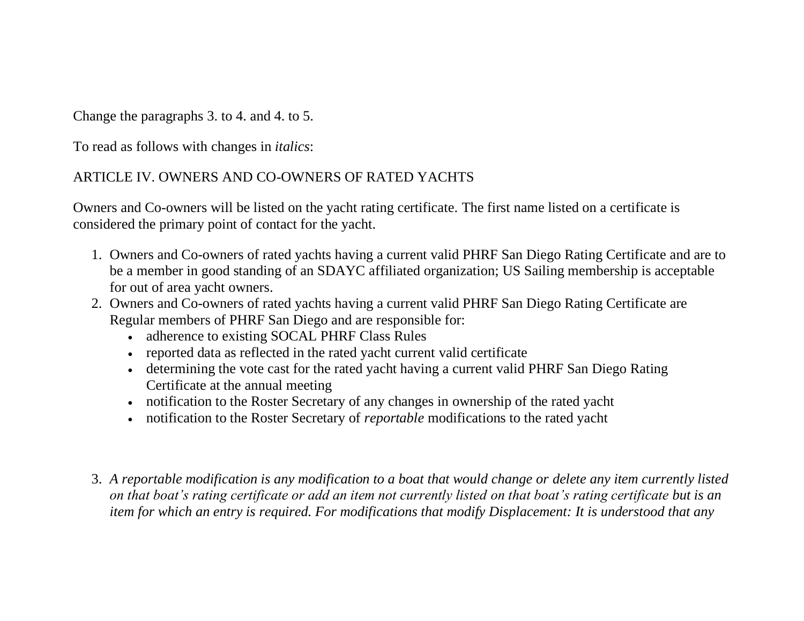Change the paragraphs 3. to 4. and 4. to 5.

To read as follows with changes in *italics*:

# ARTICLE IV. OWNERS AND CO-OWNERS OF RATED YACHTS

Owners and Co-owners will be listed on the yacht rating certificate. The first name listed on a certificate is considered the primary point of contact for the yacht.

- 1. Owners and Co-owners of rated yachts having a current valid PHRF San Diego Rating Certificate and are to be a member in good standing of an SDAYC affiliated organization; US Sailing membership is acceptable for out of area yacht owners.
- 2. Owners and Co-owners of rated yachts having a current valid PHRF San Diego Rating Certificate are Regular members of PHRF San Diego and are responsible for:
	- adherence to existing SOCAL PHRF Class Rules
	- reported data as reflected in the rated yacht current valid certificate
	- determining the vote cast for the rated yacht having a current valid PHRF San Diego Rating Certificate at the annual meeting
	- notification to the Roster Secretary of any changes in ownership of the rated yacht
	- notification to the Roster Secretary of *reportable* modifications to the rated yacht
- 3. *A reportable modification is any modification to a boat that would change or delete any item currently listed on that boat's rating certificate or add an item not currently listed on that boat's rating certificate but is an item for which an entry is required. For modifications that modify Displacement: It is understood that any*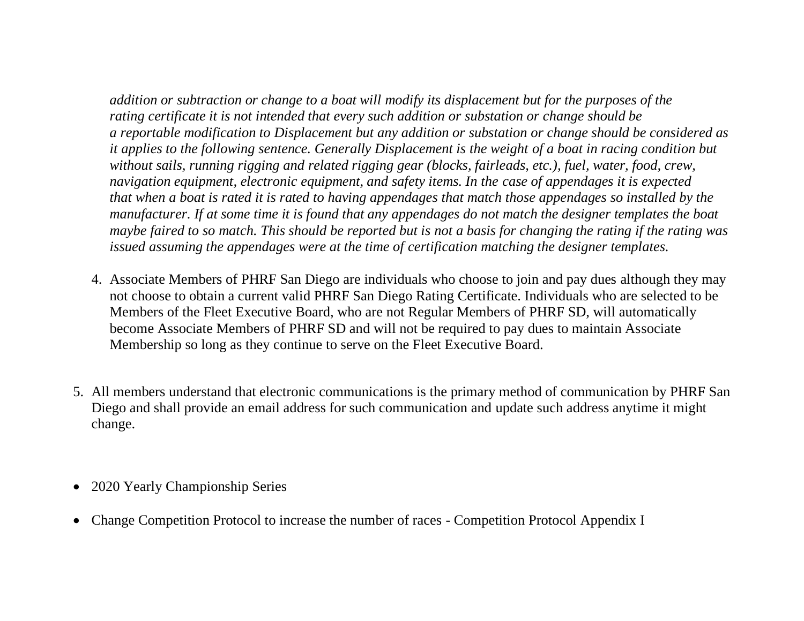*addition or subtraction or change to a boat will modify its displacement but for the purposes of the rating certificate it is not intended that every such addition or substation or change should be a reportable modification to Displacement but any addition or substation or change should be considered as it applies to the following sentence. Generally Displacement is the weight of a boat in racing condition but without sails, running rigging and related rigging gear (blocks, fairleads, etc.), fuel, water, food, crew, navigation equipment, electronic equipment, and safety items. In the case of appendages it is expected that when a boat is rated it is rated to having appendages that match those appendages so installed by the manufacturer. If at some time it is found that any appendages do not match the designer templates the boat maybe faired to so match. This should be reported but is not a basis for changing the rating if the rating was issued assuming the appendages were at the time of certification matching the designer templates.* 

- 4. Associate Members of PHRF San Diego are individuals who choose to join and pay dues although they may not choose to obtain a current valid PHRF San Diego Rating Certificate. Individuals who are selected to be Members of the Fleet Executive Board, who are not Regular Members of PHRF SD, will automatically become Associate Members of PHRF SD and will not be required to pay dues to maintain Associate Membership so long as they continue to serve on the Fleet Executive Board.
- 5. All members understand that electronic communications is the primary method of communication by PHRF San Diego and shall provide an email address for such communication and update such address anytime it might change.
- 2020 Yearly Championship Series
- Change Competition Protocol to increase the number of races Competition Protocol Appendix I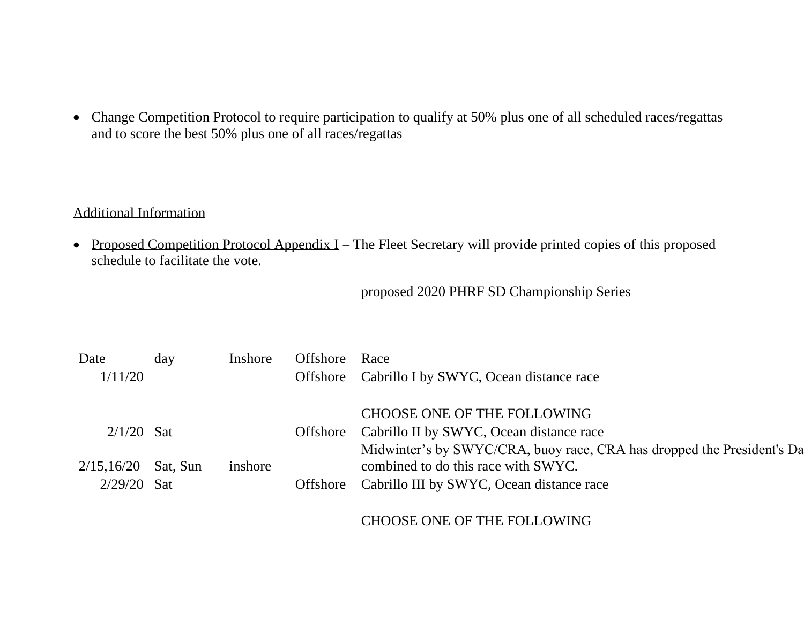• Change Competition Protocol to require participation to qualify at 50% plus one of all scheduled races/regattas and to score the best 50% plus one of all races/regattas

### Additional Information

• Proposed Competition Protocol Appendix I – The Fleet Secretary will provide printed copies of this proposed schedule to facilitate the vote.

### proposed 2020 PHRF SD Championship Series

| Date                  | day | Inshore | Offshore | Race                                                                   |
|-----------------------|-----|---------|----------|------------------------------------------------------------------------|
| 1/11/20               |     |         |          | Offshore Cabrillo I by SWYC, Ocean distance race                       |
|                       |     |         |          |                                                                        |
|                       |     |         |          | CHOOSE ONE OF THE FOLLOWING                                            |
| $2/1/20$ Sat          |     |         | Offshore | Cabrillo II by SWYC, Ocean distance race                               |
|                       |     |         |          | Midwinter's by SWYC/CRA, buoy race, CRA has dropped the President's Da |
| $2/15,16/20$ Sat, Sun |     | inshore |          | combined to do this race with SWYC.                                    |
| $2/29/20$ Sat         |     |         | Offshore | Cabrillo III by SWYC, Ocean distance race                              |
|                       |     |         |          |                                                                        |

# CHOOSE ONE OF THE FOLLOWING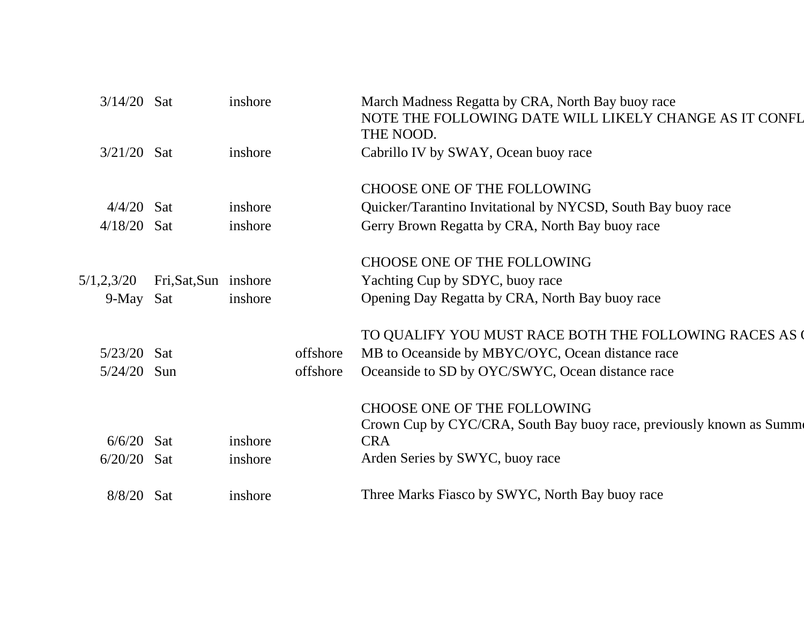| $3/14/20$ Sat |                       | inshore |          | March Madness Regatta by CRA, North Bay buoy race<br>NOTE THE FOLLOWING DATE WILL LIKELY CHANGE AS IT CONFL<br>THE NOOD. |
|---------------|-----------------------|---------|----------|--------------------------------------------------------------------------------------------------------------------------|
| $3/21/20$ Sat |                       | inshore |          | Cabrillo IV by SWAY, Ocean buoy race                                                                                     |
|               |                       |         |          |                                                                                                                          |
|               |                       |         |          | CHOOSE ONE OF THE FOLLOWING                                                                                              |
| $4/4/20$ Sat  |                       | inshore |          | Quicker/Tarantino Invitational by NYCSD, South Bay buoy race                                                             |
| $4/18/20$ Sat |                       | inshore |          | Gerry Brown Regatta by CRA, North Bay buoy race                                                                          |
|               |                       |         |          |                                                                                                                          |
|               |                       |         |          | <b>CHOOSE ONE OF THE FOLLOWING</b>                                                                                       |
| 5/1,2,3/20    | Fri, Sat, Sun inshore |         |          | Yachting Cup by SDYC, buoy race                                                                                          |
| 9-May Sat     |                       | inshore |          | Opening Day Regatta by CRA, North Bay buoy race                                                                          |
|               |                       |         |          |                                                                                                                          |
|               |                       |         |          | TO QUALIFY YOU MUST RACE BOTH THE FOLLOWING RACES AS                                                                     |
| $5/23/20$ Sat |                       |         | offshore | MB to Oceanside by MBYC/OYC, Ocean distance race                                                                         |
| 5/24/20       | Sun                   |         | offshore | Oceanside to SD by OYC/SWYC, Ocean distance race                                                                         |
|               |                       |         |          |                                                                                                                          |
|               |                       |         |          | <b>CHOOSE ONE OF THE FOLLOWING</b>                                                                                       |
|               |                       |         |          | Crown Cup by CYC/CRA, South Bay buoy race, previously known as Summe                                                     |
| 6/6/20        | Sat                   | inshore |          | <b>CRA</b>                                                                                                               |
| $6/20/20$ Sat |                       | inshore |          | Arden Series by SWYC, buoy race                                                                                          |
|               |                       |         |          |                                                                                                                          |
| $8/8/20$ Sat  |                       | inshore |          | Three Marks Fiasco by SWYC, North Bay buoy race                                                                          |
|               |                       |         |          |                                                                                                                          |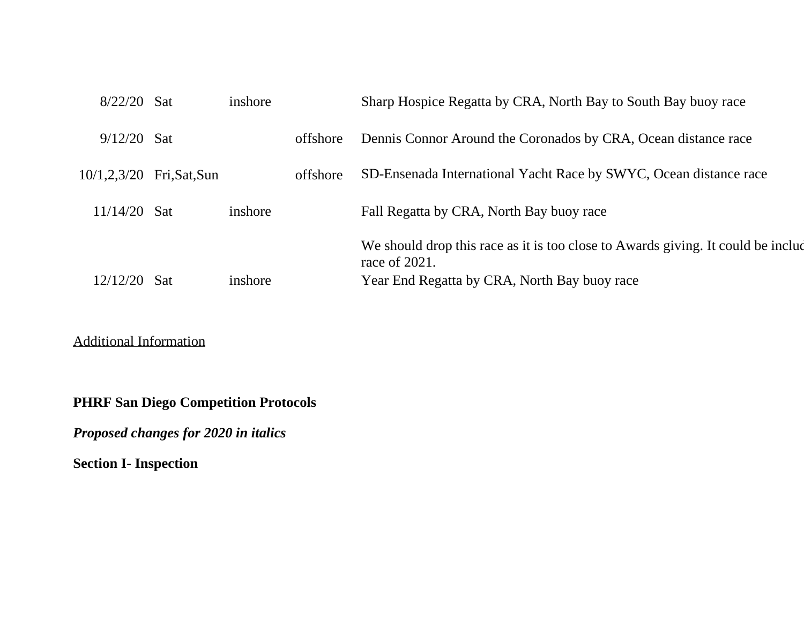| $8/22/20$ Sat  |             | inshore |          | Sharp Hospice Regatta by CRA, North Bay to South Bay buoy race                                      |
|----------------|-------------|---------|----------|-----------------------------------------------------------------------------------------------------|
| $9/12/20$ Sat  |             |         | offshore | Dennis Connor Around the Coronados by CRA, Ocean distance race                                      |
| 10/1, 2, 3/20  | Fri,Sat,Sun |         | offshore | SD-Ensenada International Yacht Race by SWYC, Ocean distance race                                   |
| $11/14/20$ Sat |             | inshore |          | Fall Regatta by CRA, North Bay buoy race                                                            |
|                |             |         |          | We should drop this race as it is too close to Awards giving. It could be included<br>race of 2021. |
| 12/12/20       | <b>Sat</b>  | inshore |          | Year End Regatta by CRA, North Bay buoy race                                                        |
|                |             |         |          |                                                                                                     |

Additional Information

**PHRF San Diego Competition Protocols**

*Proposed changes for 2020 in italics*

**Section I- Inspection**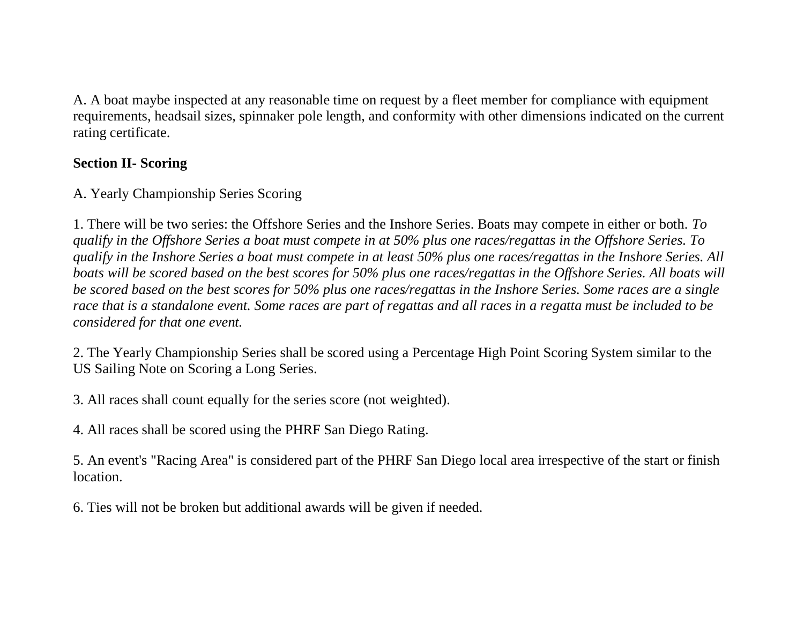A. A boat maybe inspected at any reasonable time on request by a fleet member for compliance with equipment requirements, headsail sizes, spinnaker pole length, and conformity with other dimensions indicated on the current rating certificate.

# **Section II- Scoring**

A. Yearly Championship Series Scoring

1. There will be two series: the Offshore Series and the Inshore Series. Boats may compete in either or both. *To qualify in the Offshore Series a boat must compete in at 50% plus one races/regattas in the Offshore Series. To qualify in the Inshore Series a boat must compete in at least 50% plus one races/regattas in the Inshore Series. All boats will be scored based on the best scores for 50% plus one races/regattas in the Offshore Series. All boats will be scored based on the best scores for 50% plus one races/regattas in the Inshore Series. Some races are a single race that is a standalone event. Some races are part of regattas and all races in a regatta must be included to be considered for that one event.* 

2. The Yearly Championship Series shall be scored using a Percentage High Point Scoring System similar to the US Sailing Note on Scoring a Long Series.

3. All races shall count equally for the series score (not weighted).

4. All races shall be scored using the PHRF San Diego Rating.

5. An event's "Racing Area" is considered part of the PHRF San Diego local area irrespective of the start or finish location.

6. Ties will not be broken but additional awards will be given if needed.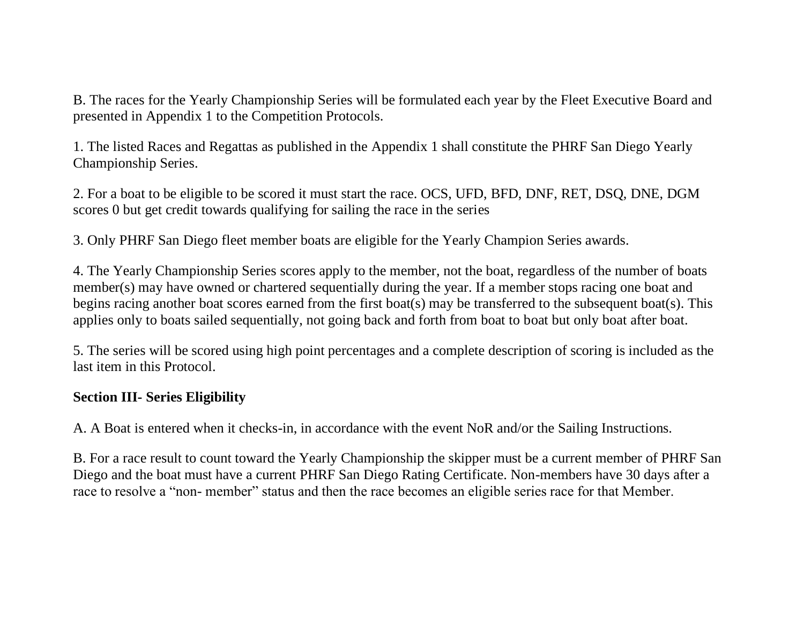B. The races for the Yearly Championship Series will be formulated each year by the Fleet Executive Board and presented in Appendix 1 to the Competition Protocols.

1. The listed Races and Regattas as published in the Appendix 1 shall constitute the PHRF San Diego Yearly Championship Series.

2. For a boat to be eligible to be scored it must start the race. OCS, UFD, BFD, DNF, RET, DSQ, DNE, DGM scores 0 but get credit towards qualifying for sailing the race in the series

3. Only PHRF San Diego fleet member boats are eligible for the Yearly Champion Series awards.

4. The Yearly Championship Series scores apply to the member, not the boat, regardless of the number of boats member(s) may have owned or chartered sequentially during the year. If a member stops racing one boat and begins racing another boat scores earned from the first boat(s) may be transferred to the subsequent boat(s). This applies only to boats sailed sequentially, not going back and forth from boat to boat but only boat after boat.

5. The series will be scored using high point percentages and a complete description of scoring is included as the last item in this Protocol.

# **Section III- Series Eligibility**

A. A Boat is entered when it checks-in, in accordance with the event NoR and/or the Sailing Instructions.

B. For a race result to count toward the Yearly Championship the skipper must be a current member of PHRF San Diego and the boat must have a current PHRF San Diego Rating Certificate. Non-members have 30 days after a race to resolve a "non- member" status and then the race becomes an eligible series race for that Member.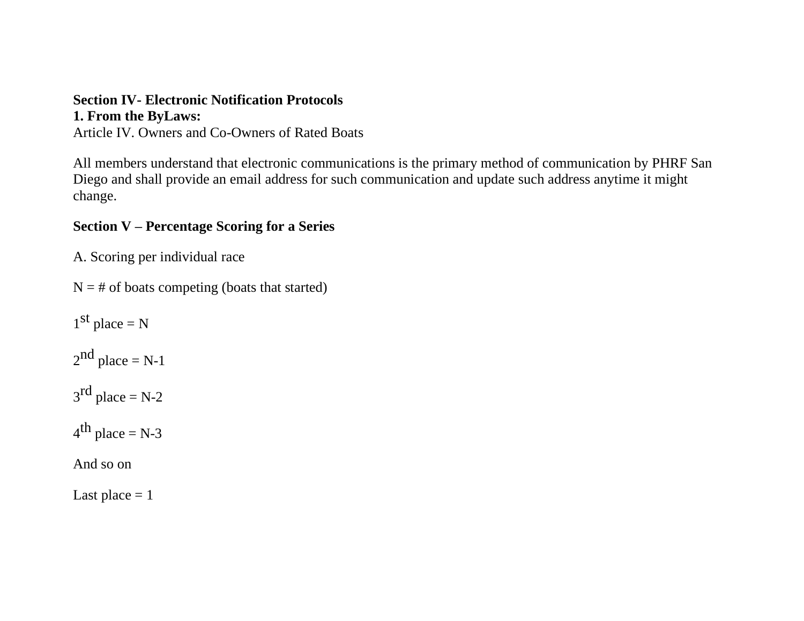### **Section IV- Electronic Notification Protocols 1. From the ByLaws:**

Article IV. Owners and Co-Owners of Rated Boats

All members understand that electronic communications is the primary method of communication by PHRF San Diego and shall provide an email address for such communication and update such address anytime it might change.

# **Section V – Percentage Scoring for a Series**

A. Scoring per individual race

 $N = #$  of boats competing (boats that started)

 $1<sup>st</sup>$  place = N  $2<sup>nd</sup>$  place = N-1  $3<sup>rd</sup>$  place = N-2  $4^{\text{th}}$  place = N-3 And so on

Last place  $= 1$